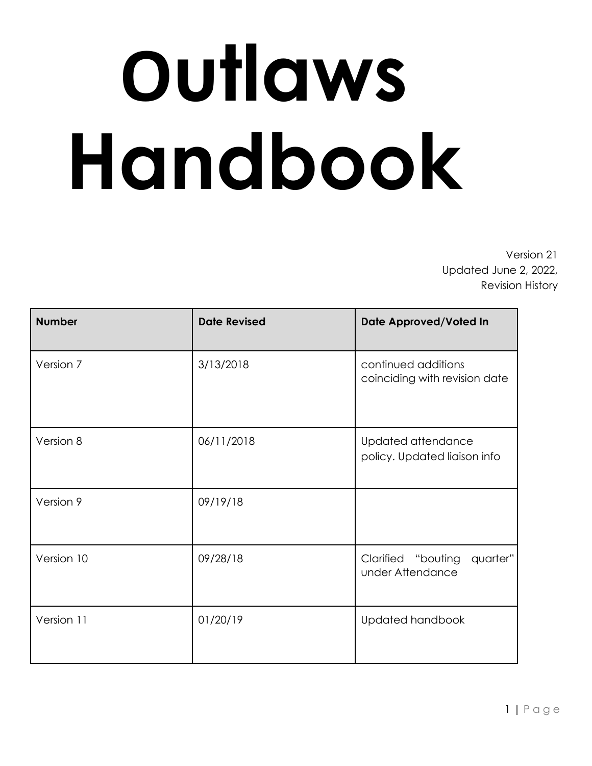# **Outlaws Handbook**

Version 21 Updated June 2, 2022, Revision History

| <b>Number</b> | <b>Date Revised</b> | Date Approved/Voted In                               |  |
|---------------|---------------------|------------------------------------------------------|--|
| Version 7     | 3/13/2018           | continued additions<br>coinciding with revision date |  |
| Version 8     | 06/11/2018          | Updated attendance<br>policy. Updated liaison info   |  |
| Version 9     | 09/19/18            |                                                      |  |
| Version 10    | 09/28/18            | quarter"<br>Clarified "bouting<br>under Attendance   |  |
| Version 11    | 01/20/19            | Updated handbook                                     |  |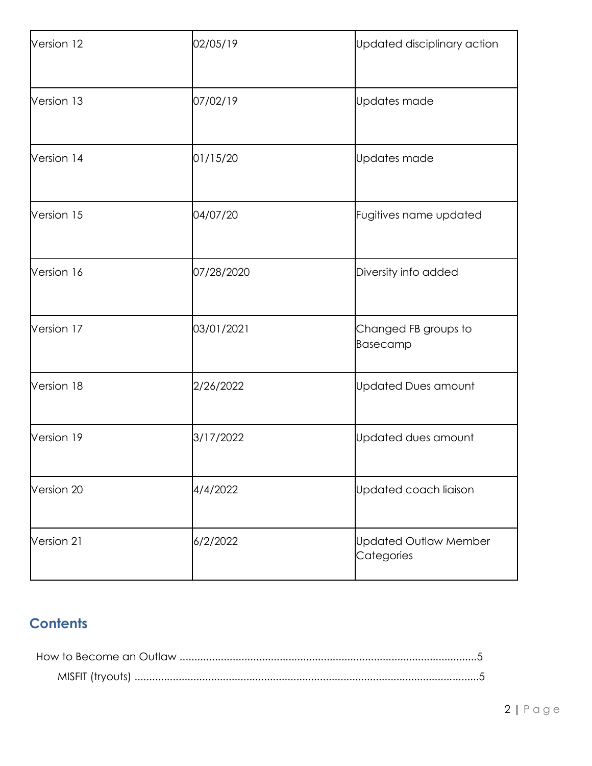| Version 12 | 02/05/19   | Updated disciplinary action                |  |
|------------|------------|--------------------------------------------|--|
| Version 13 | 07/02/19   | Updates made                               |  |
| Version 14 | 01/15/20   | Updates made                               |  |
| Version 15 | 04/07/20   | Fugitives name updated                     |  |
| Version 16 | 07/28/2020 | Diversity info added                       |  |
| Version 17 | 03/01/2021 | Changed FB groups to<br>Basecamp           |  |
| Version 18 | 2/26/2022  | <b>Updated Dues amount</b>                 |  |
| Version 19 | 3/17/2022  | Updated dues amount                        |  |
| Version 20 | 4/4/2022   | Updated coach liaison                      |  |
| Version 21 | 6/2/2022   | <b>Updated Outlaw Member</b><br>Categories |  |

# **Contents**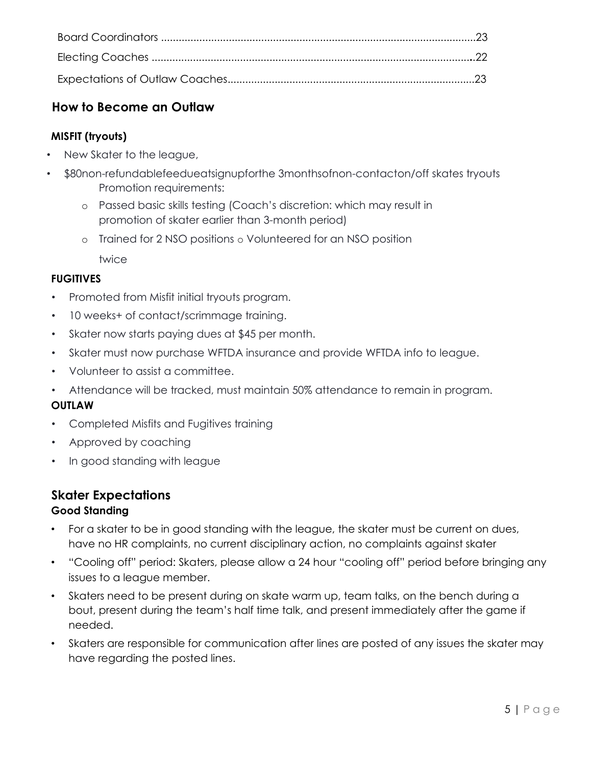# **How to Become an Outlaw**

# **MISFIT (tryouts)**

- New Skater to the league,
- \$80non-refundablefeedueatsignupforthe 3monthsofnon-contacton/off skates tryouts Promotion requirements:
	- o Passed basic skills testing (Coach's discretion: which may result in promotion of skater earlier than 3-month period)
	- o Trained for 2 NSO positions o Volunteered for an NSO position

twice

# **FUGITIVES**

- Promoted from Misfit initial tryouts program.
- 10 weeks+ of contact/scrimmage training.
- Skater now starts paying dues at \$45 per month.
- Skater must now purchase WFTDA insurance and provide WFTDA info to league.
- Volunteer to assist a committee.
- Attendance will be tracked, must maintain 50% attendance to remain in program.

# **OUTLAW**

- Completed Misfits and Fugitives training
- Approved by coaching
- In good standing with league

# **Skater Expectations**

# **Good Standing**

- For a skater to be in good standing with the league, the skater must be current on dues, have no HR complaints, no current disciplinary action, no complaints against skater
- "Cooling off" period: Skaters, please allow a 24 hour "cooling off" period before bringing any issues to a league member.
- Skaters need to be present during on skate warm up, team talks, on the bench during a bout, present during the team's half time talk, and present immediately after the game if needed.
- Skaters are responsible for communication after lines are posted of any issues the skater may have regarding the posted lines.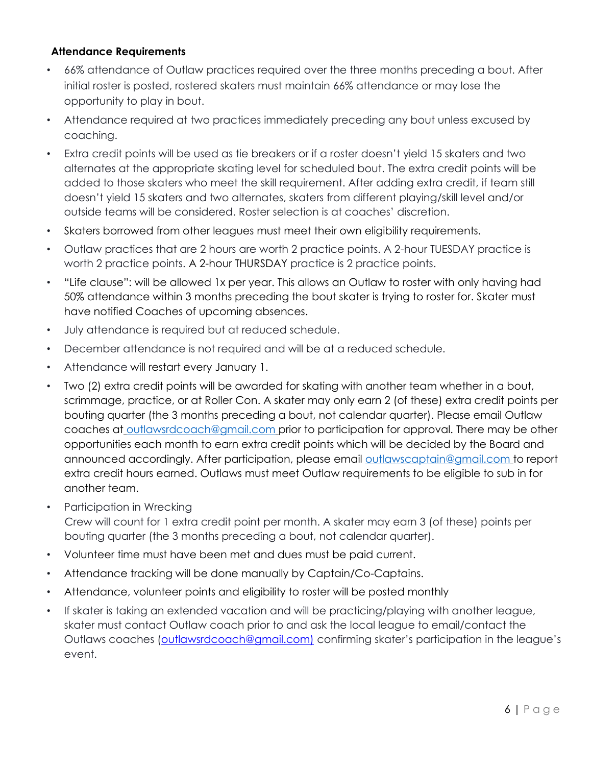# **Attendance Requirements**

- 66% attendance of Outlaw practices required over the three months preceding a bout. After initial roster is posted, rostered skaters must maintain 66% attendance or may lose the opportunity to play in bout.
- Attendance required at two practices immediately preceding any bout unless excused by coaching.
- Extra credit points will be used as tie breakers or if a roster doesn't yield 15 skaters and two alternates at the appropriate skating level for scheduled bout. The extra credit points will be added to those skaters who meet the skill requirement. After adding extra credit, if team still doesn't yield 15 skaters and two alternates, skaters from different playing/skill level and/or outside teams will be considered. Roster selection is at coaches' discretion.
- Skaters borrowed from other leagues must meet their own eligibility requirements.
- Outlaw practices that are 2 hours are worth 2 practice points. A 2-hour TUESDAY practice is worth 2 practice points. A 2-hour THURSDAY practice is 2 practice points.
- "Life clause": will be allowed 1x per year. This allows an Outlaw to roster with only having had 50% attendance within 3 months preceding the bout skater is trying to roster for. Skater must have notified Coaches of upcoming absences.
- July attendance is required but at reduced schedule.
- December attendance is not required and will be at a reduced schedule.
- Attendance will restart every January 1.
- Two (2) extra credit points will be awarded for skating with another team whether in a bout, scrimmage, practice, or at Roller Con. A skater may only earn 2 (of these) extra credit points per bouting quarter (the 3 months preceding a bout, not calendar quarter). Please email Outlaw coaches at outlawsrdcoach@gmail.com prior to participation for approval. There may be other opportunities each month to earn extra credit points which will be decided by the Board and announced accordingly. After participation, please email outlawscaptain@gmail.com to report extra credit hours earned. Outlaws must meet Outlaw requirements to be eligible to sub in for another team.
- Participation in Wrecking

Crew will count for 1 extra credit point per month. A skater may earn 3 (of these) points per bouting quarter (the 3 months preceding a bout, not calendar quarter).

- Volunteer time must have been met and dues must be paid current.
- Attendance tracking will be done manually by Captain/Co-Captains.
- Attendance, volunteer points and eligibility to roster will be posted monthly
- If skater is taking an extended vacation and will be practicing/playing with another league, skater must contact Outlaw coach prior to and ask the local league to email/contact the Outlaws coaches (outlawsrdcoach@gmail.com) confirming skater's participation in the league's event.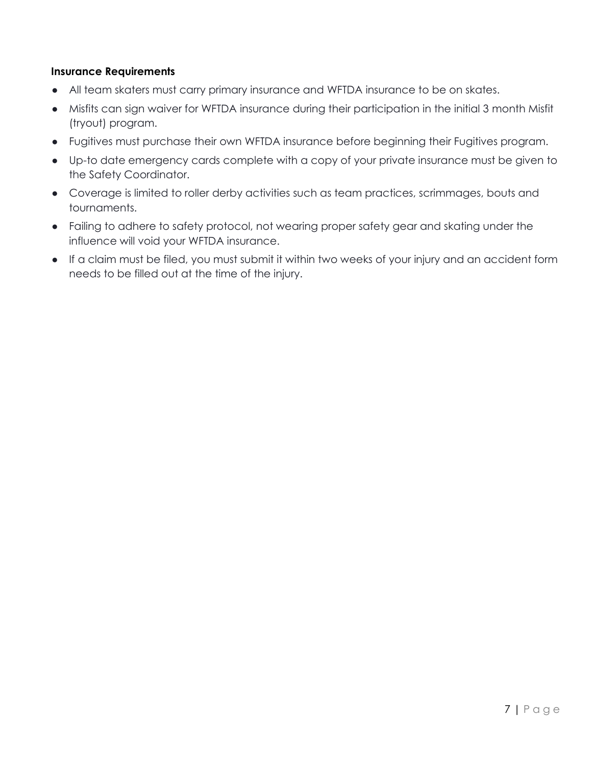### **Insurance Requirements**

- All team skaters must carry primary insurance and WFTDA insurance to be on skates.
- Misfits can sign waiver for WFTDA insurance during their participation in the initial 3 month Misfit (tryout) program.
- Fugitives must purchase their own WFTDA insurance before beginning their Fugitives program.
- Up-to date emergency cards complete with a copy of your private insurance must be given to the Safety Coordinator.
- Coverage is limited to roller derby activities such as team practices, scrimmages, bouts and tournaments.
- Failing to adhere to safety protocol, not wearing proper safety gear and skating under the influence will void your WFTDA insurance.
- If a claim must be filed, you must submit it within two weeks of your injury and an accident form needs to be filled out at the time of the injury.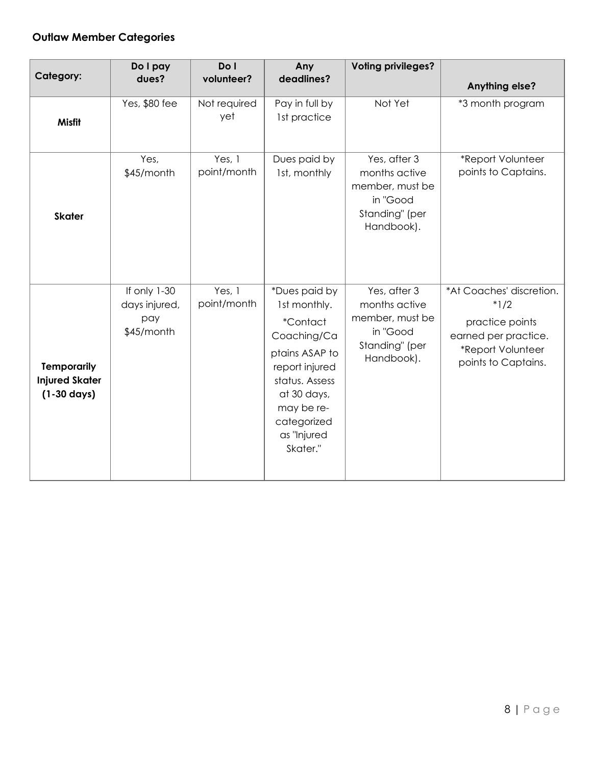# **Outlaw Member Categories**

| Category:                                                            | Do I pay<br>dues?                                  | Do I<br>volunteer?    | Any<br>deadlines?                                                                                                                                                                            | <b>Voting privileges?</b>                                                                    | <b>Anything else?</b>                                                                                                     |
|----------------------------------------------------------------------|----------------------------------------------------|-----------------------|----------------------------------------------------------------------------------------------------------------------------------------------------------------------------------------------|----------------------------------------------------------------------------------------------|---------------------------------------------------------------------------------------------------------------------------|
| <b>Misfit</b>                                                        | Yes, \$80 fee                                      | Not required<br>yet   | Pay in full by<br>1st practice                                                                                                                                                               | Not Yet                                                                                      | *3 month program                                                                                                          |
| <b>Skater</b>                                                        | Yes,<br>\$45/month                                 | Yes, 1<br>point/month | Dues paid by<br>1st, monthly                                                                                                                                                                 | Yes, after 3<br>months active<br>member, must be<br>in "Good<br>Standing" (per<br>Handbook). | *Report Volunteer<br>points to Captains.                                                                                  |
| <b>Temporarily</b><br><b>Injured Skater</b><br>$(1-30 \text{ days})$ | If only 1-30<br>days injured,<br>pay<br>\$45/month | Yes, 1<br>point/month | *Dues paid by<br>1st monthly.<br><i>*Contact</i><br>Coaching/Ca<br>ptains ASAP to<br>report injured<br>status. Assess<br>at 30 days,<br>may be re-<br>categorized<br>as "Injured<br>Skater." | Yes, after 3<br>months active<br>member, must be<br>in "Good<br>Standing" (per<br>Handbook). | *At Coaches' discretion.<br>$*1/2$<br>practice points<br>earned per practice.<br>*Report Volunteer<br>points to Captains. |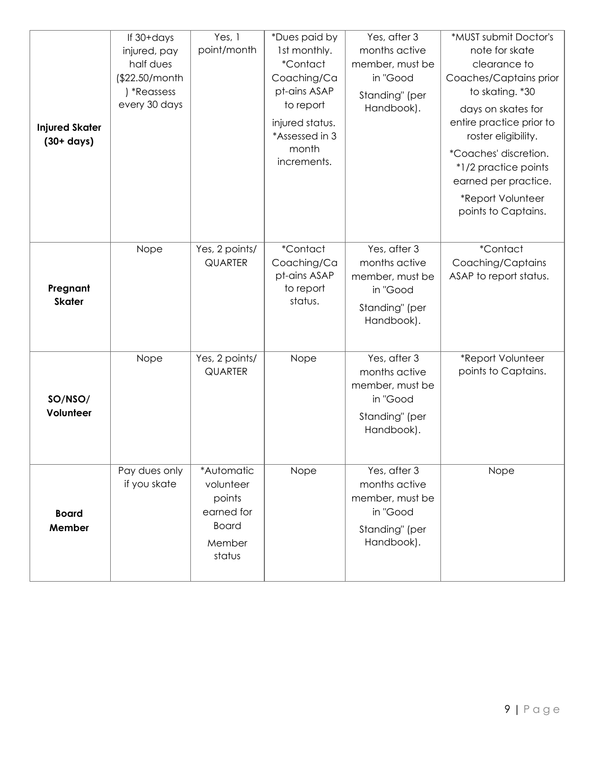| <b>Injured Skater</b><br>$(30 + days)$ | If 30+days<br>injured, pay<br>half dues<br>(\$22.50/month<br>) *Reassess<br>every 30 days | Yes, 1<br>point/month                                                               | *Dues paid by<br>1st monthly.<br><i>*Contact</i><br>Coaching/Ca<br>pt-ains ASAP<br>to report<br>injured status.<br>*Assessed in 3<br>month<br>increments. | Yes, after 3<br>months active<br>member, must be<br>in "Good<br>Standing" (per<br>Handbook). | *MUST submit Doctor's<br>note for skate<br>clearance to<br>Coaches/Captains prior<br>to skating. *30<br>days on skates for<br>entire practice prior to<br>roster eligibility.<br>*Coaches' discretion.<br>*1/2 practice points<br>earned per practice.<br>*Report Volunteer<br>points to Captains. |
|----------------------------------------|-------------------------------------------------------------------------------------------|-------------------------------------------------------------------------------------|-----------------------------------------------------------------------------------------------------------------------------------------------------------|----------------------------------------------------------------------------------------------|----------------------------------------------------------------------------------------------------------------------------------------------------------------------------------------------------------------------------------------------------------------------------------------------------|
| Pregnant<br><b>Skater</b>              | Nope                                                                                      | Yes, 2 points/<br><b>QUARTER</b>                                                    | *Contact<br>Coaching/Ca<br>pt-ains ASAP<br>to report<br>status.                                                                                           | Yes, after 3<br>months active<br>member, must be<br>in "Good<br>Standing" (per<br>Handbook). | *Contact<br>Coaching/Captains<br>ASAP to report status.                                                                                                                                                                                                                                            |
| SO/NSO/<br>Volunteer                   | Nope                                                                                      | Yes, 2 points/<br><b>QUARTER</b>                                                    | Nope                                                                                                                                                      | Yes, after 3<br>months active<br>member, must be<br>in "Good<br>Standing" (per<br>Handbook). | *Report Volunteer<br>points to Captains.                                                                                                                                                                                                                                                           |
| <b>Board</b><br>Member                 | Pay dues only<br>if you skate                                                             | *Automatic<br>volunteer<br>points<br>earned for<br><b>Board</b><br>Member<br>status | Nope                                                                                                                                                      | Yes, after 3<br>months active<br>member, must be<br>in "Good<br>Standing" (per<br>Handbook). | Nope                                                                                                                                                                                                                                                                                               |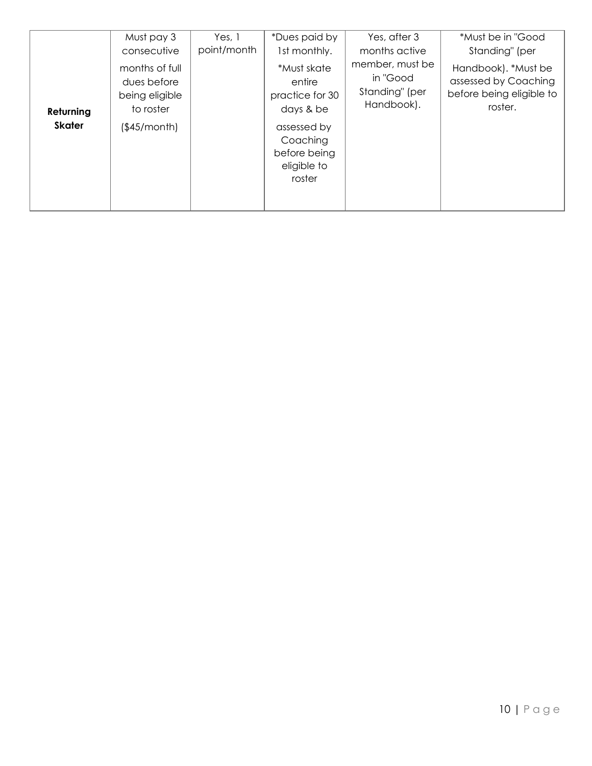|                            | Must pay 3                                                                                  | Yes, 1      | *Dues paid by                                                                                                                             | Yes, after 3                                                                 | *Must be in "Good                                                                                    |
|----------------------------|---------------------------------------------------------------------------------------------|-------------|-------------------------------------------------------------------------------------------------------------------------------------------|------------------------------------------------------------------------------|------------------------------------------------------------------------------------------------------|
| Returning<br><b>Skater</b> | consecutive<br>months of full<br>dues before<br>being eligible<br>to roster<br>(\$45/month) | point/month | 1st monthly.<br>*Must skate<br>entire<br>practice for 30<br>days & be<br>assessed by<br>Coaching<br>before being<br>eligible to<br>roster | months active<br>member, must be<br>in "Good<br>Standing" (per<br>Handbook). | Standing" (per<br>Handbook). *Must be<br>assessed by Coaching<br>before being eligible to<br>roster. |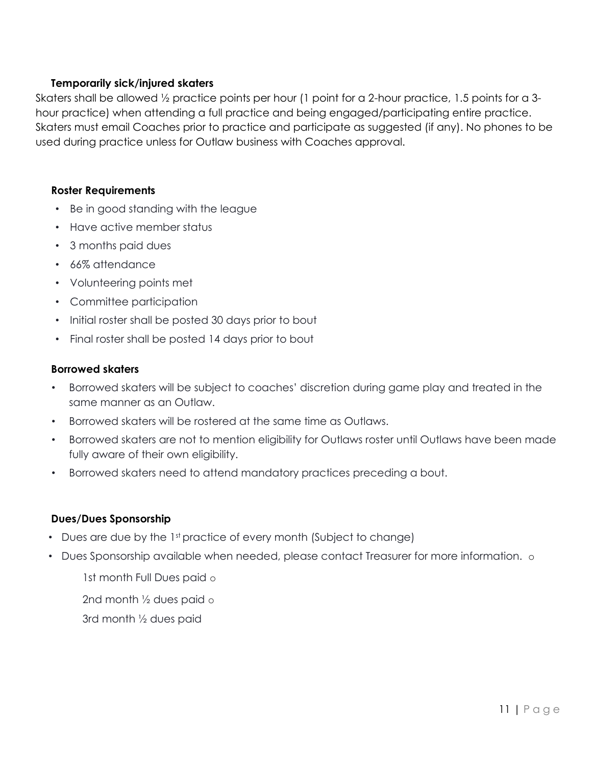### **Temporarily sick/injured skaters**

Skaters shall be allowed ½ practice points per hour (1 point for a 2-hour practice, 1.5 points for a 3 hour practice) when attending a full practice and being engaged/participating entire practice. Skaters must email Coaches prior to practice and participate as suggested (if any). No phones to be used during practice unless for Outlaw business with Coaches approval.

#### **Roster Requirements**

- Be in good standing with the league
- Have active member status
- 3 months paid dues
- 66% attendance
- Volunteering points met
- Committee participation
- Initial roster shall be posted 30 days prior to bout
- Final roster shall be posted 14 days prior to bout

#### **Borrowed skaters**

- Borrowed skaters will be subject to coaches' discretion during game play and treated in the same manner as an Outlaw.
- Borrowed skaters will be rostered at the same time as Outlaws.
- Borrowed skaters are not to mention eligibility for Outlaws roster until Outlaws have been made fully aware of their own eligibility.
- Borrowed skaters need to attend mandatory practices preceding a bout.

#### **Dues/Dues Sponsorship**

- Dues are due by the 1st practice of every month (Subject to change)
- Dues Sponsorship available when needed, please contact Treasurer for more information. o

1st month Full Dues paid o

2nd month ½ dues paid o

3rd month ½ dues paid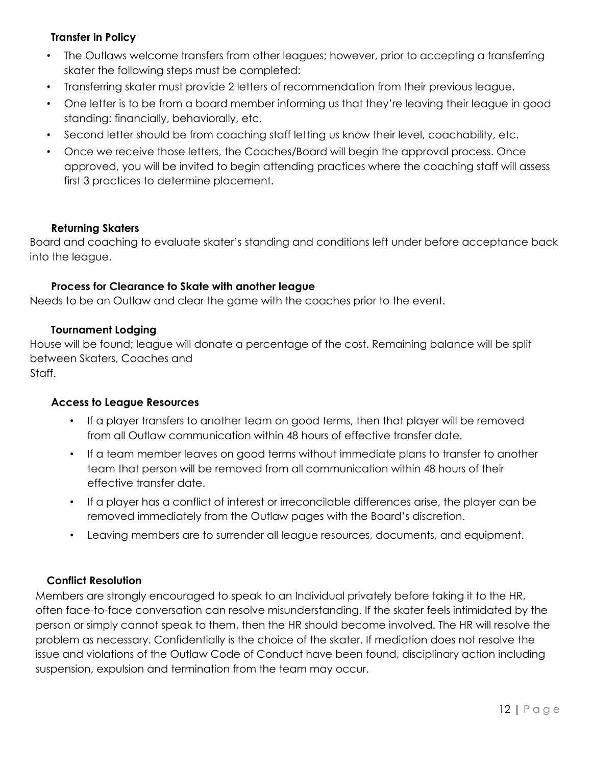## **Transfer in Policy**

- The Outlaws welcome transfers from other leagues; however, prior to accepting a transferring skater the following steps must be completed:
- Transferring skater must provide 2 letters of recommendation from their previous league.
- One letter is to be from a board member informing us that they're leaving their league in good standing: financially, behaviorally, etc.
- Second letter should be from coaching staff letting us know their level, coachability, etc.
- Once we receive those letters, the Coaches/Board will begin the approval process. Once approved, you will be invited to begin attending practices where the coaching staff will assess first 3 practices to determine placement.

## **Returning Skaters**

Board and coaching to evaluate skater's standing and conditions left under before acceptance back into the league.

#### **Process for Clearance to Skate with another league**

Needs to be an Outlaw and clear the game with the coaches prior to the event.

#### **Tournament Lodging**

House will be found; league will donate a percentage of the cost. Remaining balance will be split between Skaters, Coaches and Staff.

# **Access to League Resources**

- If a player transfers to another team on good terms, then that player will be removed from all Outlaw communication within 48 hours of effective transfer date.
- If a team member leaves on good terms without immediate plans to transfer to another team that person will be removed from all communication within 48 hours of their effective transfer date.
- If a player has a conflict of interest or irreconcilable differences arise, the player can be removed immediately from the Outlaw pages with the Board's discretion.
- Leaving members are to surrender all league resources, documents, and equipment.

## **Conflict Resolution**

Members are strongly encouraged to speak to an Individual privately before taking it to the HR, often face-to-face conversation can resolve misunderstanding. If the skater feels intimidated by the person or simply cannot speak to them, then the HR should become involved. The HR will resolve the problem as necessary. Confidentially is the choice of the skater. If mediation does not resolve the issue and violations of the Outlaw Code of Conduct have been found, disciplinary action including suspension, expulsion and termination from the team may occur.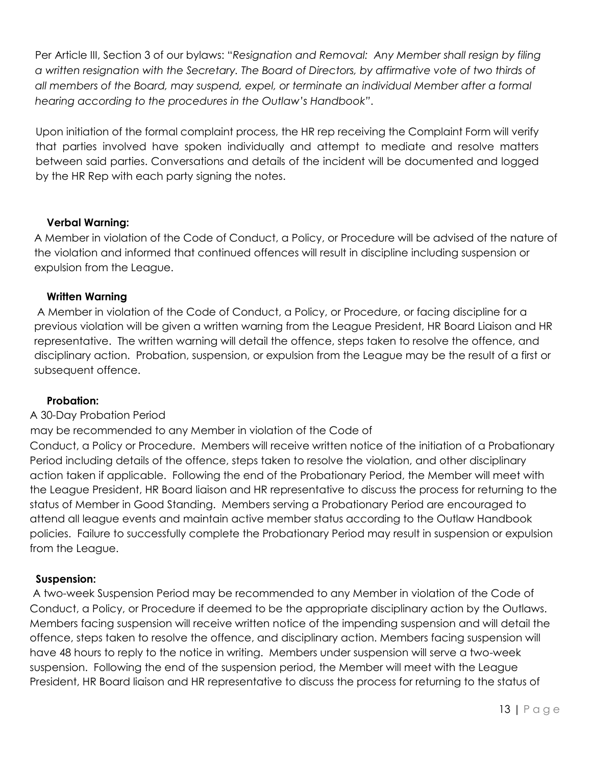Per Article III, Section 3 of our bylaws: "*Resignation and Removal: Any Member shall resign by filing a written resignation with the Secretary. The Board of Directors, by affirmative vote of two thirds of all members of the Board, may suspend, expel, or terminate an individual Member after a formal hearing according to the procedures in the Outlaw's Handbook"*.

Upon initiation of the formal complaint process, the HR rep receiving the Complaint Form will verify that parties involved have spoken individually and attempt to mediate and resolve matters between said parties. Conversations and details of the incident will be documented and logged by the HR Rep with each party signing the notes.

## **Verbal Warning:**

A Member in violation of the Code of Conduct, a Policy, or Procedure will be advised of the nature of the violation and informed that continued offences will result in discipline including suspension or expulsion from the League.

#### **Written Warning**

A Member in violation of the Code of Conduct, a Policy, or Procedure, or facing discipline for a previous violation will be given a written warning from the League President, HR Board Liaison and HR representative. The written warning will detail the offence, steps taken to resolve the offence, and disciplinary action. Probation, suspension, or expulsion from the League may be the result of a first or subsequent offence.

#### **Probation:**

## A 30-Day Probation Period

may be recommended to any Member in violation of the Code of

Conduct, a Policy or Procedure. Members will receive written notice of the initiation of a Probationary Period including details of the offence, steps taken to resolve the violation, and other disciplinary action taken if applicable. Following the end of the Probationary Period, the Member will meet with the League President, HR Board liaison and HR representative to discuss the process for returning to the status of Member in Good Standing. Members serving a Probationary Period are encouraged to attend all league events and maintain active member status according to the Outlaw Handbook policies. Failure to successfully complete the Probationary Period may result in suspension or expulsion from the League.

#### **Suspension:**

A two-week Suspension Period may be recommended to any Member in violation of the Code of Conduct, a Policy, or Procedure if deemed to be the appropriate disciplinary action by the Outlaws. Members facing suspension will receive written notice of the impending suspension and will detail the offence, steps taken to resolve the offence, and disciplinary action. Members facing suspension will have 48 hours to reply to the notice in writing. Members under suspension will serve a two-week suspension. Following the end of the suspension period, the Member will meet with the League President, HR Board liaison and HR representative to discuss the process for returning to the status of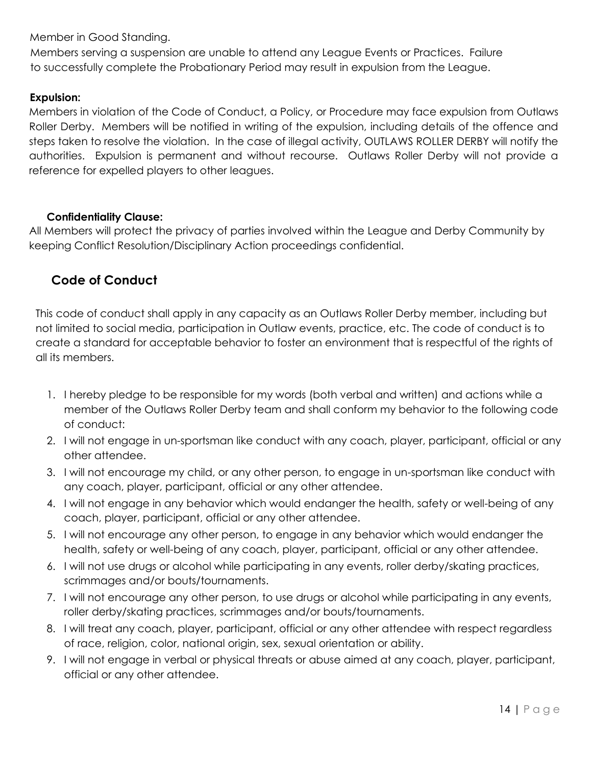Member in Good Standing.

Members serving a suspension are unable to attend any League Events or Practices. Failure to successfully complete the Probationary Period may result in expulsion from the League.

# **Expulsion:**

Members in violation of the Code of Conduct, a Policy, or Procedure may face expulsion from Outlaws Roller Derby. Members will be notified in writing of the expulsion, including details of the offence and steps taken to resolve the violation. In the case of illegal activity, OUTLAWS ROLLER DERBY will notify the authorities. Expulsion is permanent and without recourse. Outlaws Roller Derby will not provide a reference for expelled players to other leagues.

# **Confidentiality Clause:**

All Members will protect the privacy of parties involved within the League and Derby Community by keeping Conflict Resolution/Disciplinary Action proceedings confidential.

# **Code of Conduct**

This code of conduct shall apply in any capacity as an Outlaws Roller Derby member, including but not limited to social media, participation in Outlaw events, practice, etc. The code of conduct is to create a standard for acceptable behavior to foster an environment that is respectful of the rights of all its members.

- 1. I hereby pledge to be responsible for my words (both verbal and written) and actions while a member of the Outlaws Roller Derby team and shall conform my behavior to the following code of conduct:
- 2. I will not engage in un-sportsman like conduct with any coach, player, participant, official or any other attendee.
- 3. I will not encourage my child, or any other person, to engage in un-sportsman like conduct with any coach, player, participant, official or any other attendee.
- 4. I will not engage in any behavior which would endanger the health, safety or well-being of any coach, player, participant, official or any other attendee.
- 5. I will not encourage any other person, to engage in any behavior which would endanger the health, safety or well-being of any coach, player, participant, official or any other attendee.
- 6. I will not use drugs or alcohol while participating in any events, roller derby/skating practices, scrimmages and/or bouts/tournaments.
- 7. I will not encourage any other person, to use drugs or alcohol while participating in any events, roller derby/skating practices, scrimmages and/or bouts/tournaments.
- 8. I will treat any coach, player, participant, official or any other attendee with respect regardless of race, religion, color, national origin, sex, sexual orientation or ability.
- 9. I will not engage in verbal or physical threats or abuse aimed at any coach, player, participant, official or any other attendee.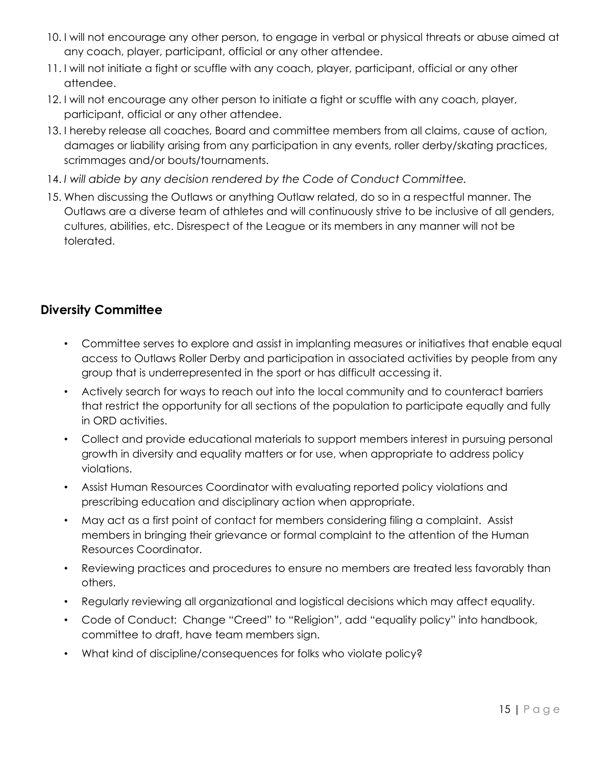- 10. I will not encourage any other person, to engage in verbal or physical threats or abuse aimed at any coach, player, participant, official or any other attendee.
- 11. I will not initiate a fight or scuffle with any coach, player, participant, official or any other attendee.
- 12. I will not encourage any other person to initiate a fight or scuffle with any coach, player, participant, official or any other attendee.
- 13. I hereby release all coaches, Board and committee members from all claims, cause of action, damages or liability arising from any participation in any events, roller derby/skating practices, scrimmages and/or bouts/tournaments.
- 14. *I will abide by any decision rendered by the Code of Conduct Committee.*
- 15. When discussing the Outlaws or anything Outlaw related, do so in a respectful manner. The Outlaws are a diverse team of athletes and will continuously strive to be inclusive of all genders, cultures, abilities, etc. Disrespect of the League or its members in any manner will not be tolerated.

# **Diversity Committee**

- Committee serves to explore and assist in implanting measures or initiatives that enable equal access to Outlaws Roller Derby and participation in associated activities by people from any group that is underrepresented in the sport or has difficult accessing it.
- Actively search for ways to reach out into the local community and to counteract barriers that restrict the opportunity for all sections of the population to participate equally and fully in ORD activities.
- Collect and provide educational materials to support members interest in pursuing personal growth in diversity and equality matters or for use, when appropriate to address policy violations.
- Assist Human Resources Coordinator with evaluating reported policy violations and prescribing education and disciplinary action when appropriate.
- May act as a first point of contact for members considering filing a complaint. Assist members in bringing their grievance or formal complaint to the attention of the Human Resources Coordinator.
- Reviewing practices and procedures to ensure no members are treated less favorably than others.
- Regularly reviewing all organizational and logistical decisions which may affect equality.
- Code of Conduct: Change "Creed" to "Religion", add "equality policy" into handbook, committee to draft, have team members sign.
- What kind of discipline/consequences for folks who violate policy?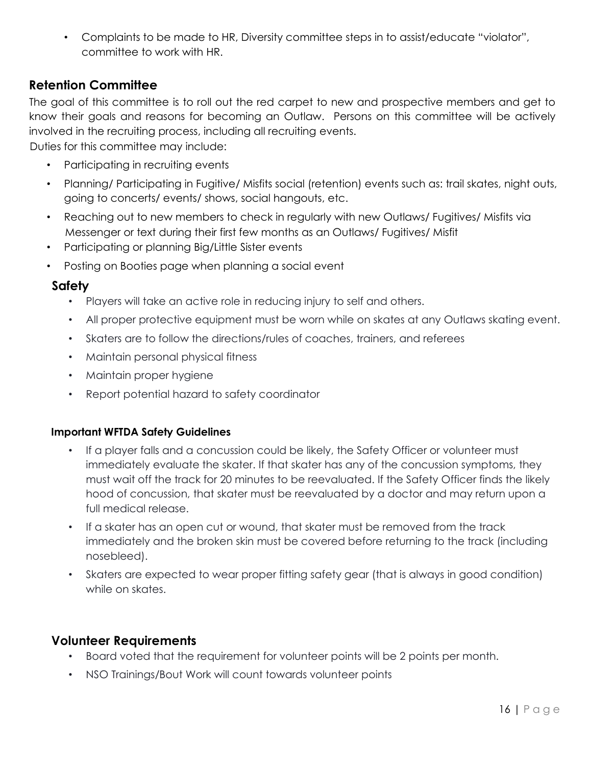• Complaints to be made to HR, Diversity committee steps in to assist/educate "violator", committee to work with HR.

# **Retention Committee**

The goal of this committee is to roll out the red carpet to new and prospective members and get to know their goals and reasons for becoming an Outlaw. Persons on this committee will be actively involved in the recruiting process, including all recruiting events.

Duties for this committee may include:

- Participating in recruiting events
- Planning/ Participating in Fugitive/ Misfits social (retention) events such as: trail skates, night outs, going to concerts/ events/ shows, social hangouts, etc.
- Reaching out to new members to check in regularly with new Outlaws/Fugitives/Misfits via Messenger or text during their first few months as an Outlaws/ Fugitives/ Misfit
- Participating or planning Big/Little Sister events
- Posting on Booties page when planning a social event

# **Safety**

- Players will take an active role in reducing injury to self and others.
- All proper protective equipment must be worn while on skates at any Outlaws skating event.
- Skaters are to follow the directions/rules of coaches, trainers, and referees
- Maintain personal physical fitness
- Maintain proper hygiene
- Report potential hazard to safety coordinator

## **Important WFTDA Safety Guidelines**

- If a player falls and a concussion could be likely, the Safety Officer or volunteer must immediately evaluate the skater. If that skater has any of the concussion symptoms, they must wait off the track for 20 minutes to be reevaluated. If the Safety Officer finds the likely hood of concussion, that skater must be reevaluated by a doctor and may return upon a full medical release.
- If a skater has an open cut or wound, that skater must be removed from the track immediately and the broken skin must be covered before returning to the track (including nosebleed).
- Skaters are expected to wear proper fitting safety gear (that is always in good condition) while on skates.

# **Volunteer Requirements**

- Board voted that the requirement for volunteer points will be 2 points per month.
- NSO Trainings/Bout Work will count towards volunteer points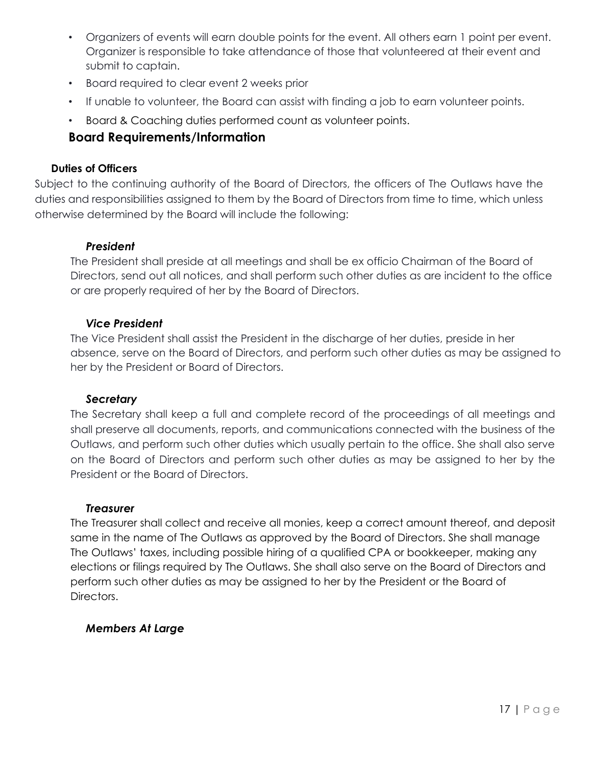- Organizers of events will earn double points for the event. All others earn 1 point per event. Organizer is responsible to take attendance of those that volunteered at their event and submit to captain.
- Board required to clear event 2 weeks prior
- If unable to volunteer, the Board can assist with finding a job to earn volunteer points.
- Board & Coaching duties performed count as volunteer points.

# **Board Requirements/Information**

#### **Duties of Officers**

Subject to the continuing authority of the Board of Directors, the officers of The Outlaws have the duties and responsibilities assigned to them by the Board of Directors from time to time, which unless otherwise determined by the Board will include the following:

## *President*

The President shall preside at all meetings and shall be ex officio Chairman of the Board of Directors, send out all notices, and shall perform such other duties as are incident to the office or are properly required of her by the Board of Directors.

## *Vice President*

The Vice President shall assist the President in the discharge of her duties, preside in her absence, serve on the Board of Directors, and perform such other duties as may be assigned to her by the President or Board of Directors.

## *Secretary*

The Secretary shall keep a full and complete record of the proceedings of all meetings and shall preserve all documents, reports, and communications connected with the business of the Outlaws, and perform such other duties which usually pertain to the office. She shall also serve on the Board of Directors and perform such other duties as may be assigned to her by the President or the Board of Directors.

#### *Treasurer*

The Treasurer shall collect and receive all monies, keep a correct amount thereof, and deposit same in the name of The Outlaws as approved by the Board of Directors. She shall manage The Outlaws' taxes, including possible hiring of a qualified CPA or bookkeeper, making any elections or filings required by The Outlaws. She shall also serve on the Board of Directors and perform such other duties as may be assigned to her by the President or the Board of Directors.

## *Members At Large*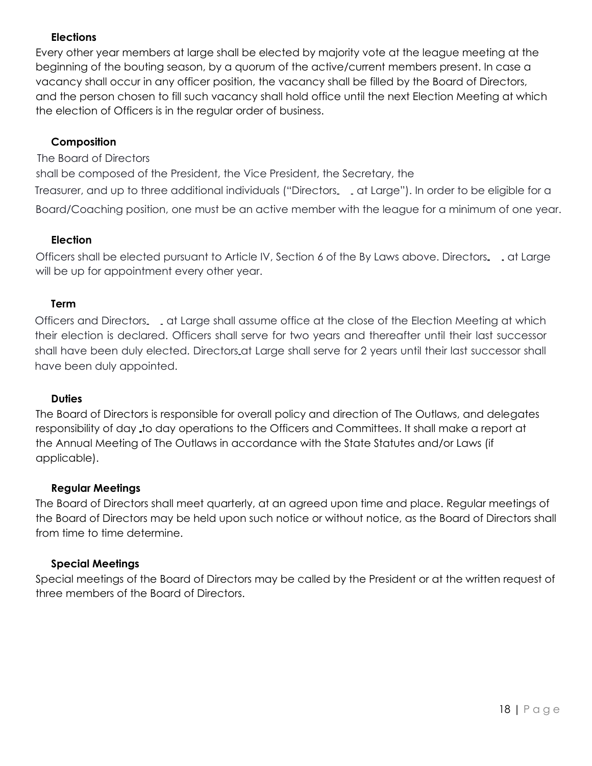# **Elections**

Every other year members at large shall be elected by majority vote at the league meeting at the beginning of the bouting season, by a quorum of the active/current members present. In case a vacancy shall occur in any officer position, the vacancy shall be filled by the Board of Directors, and the person chosen to fill such vacancy shall hold office until the next Election Meeting at which the election of Officers is in the regular order of business.

### **Composition**

The Board of Directors

shall be composed of the President, the Vice President, the Secretary, the Treasurer, and up to three additional individuals ("Directors. . at Large"). In order to be eligible for a Board/Coaching position, one must be an active member with the league for a minimum of one year.

#### **Election**

Officers shall be elected pursuant to Article IV, Section 6 of the By Laws above. Directors. at Large will be up for appointment every other year.

#### **Term**

Officers and Directors at Large shall assume office at the close of the Election Meeting at which their election is declared. Officers shall serve for two years and thereafter until their last successor shall have been duly elected. Directors at Large shall serve for 2 years until their last successor shall have been duly appointed.

#### **Duties**

The Board of Directors is responsible for overall policy and direction of The Outlaws, and delegates responsibility of day to day operations to the Officers and Committees. It shall make a report at the Annual Meeting of The Outlaws in accordance with the State Statutes and/or Laws (if applicable).

#### **Regular Meetings**

The Board of Directors shall meet quarterly, at an agreed upon time and place. Regular meetings of the Board of Directors may be held upon such notice or without notice, as the Board of Directors shall from time to time determine.

#### **Special Meetings**

Special meetings of the Board of Directors may be called by the President or at the written request of three members of the Board of Directors.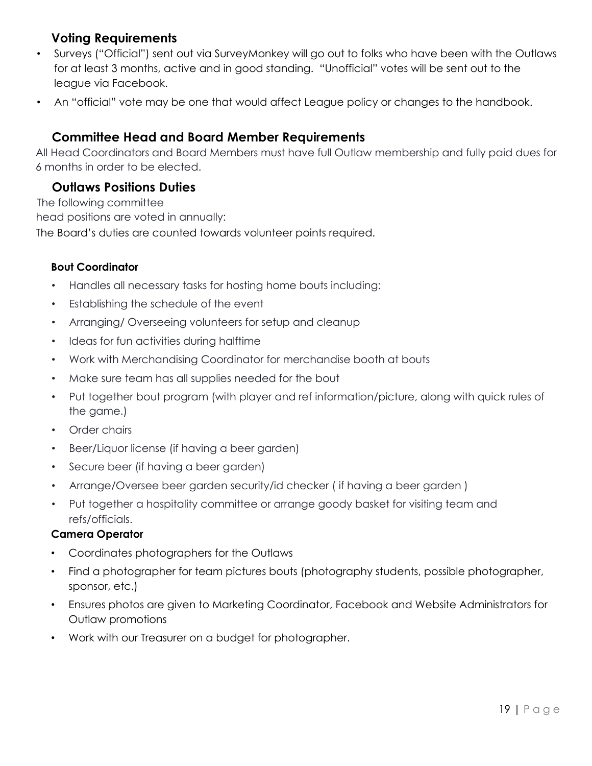# **Voting Requirements**

- Surveys ("Official") sent out via SurveyMonkey will go out to folks who have been with the Outlaws for at least 3 months, active and in good standing. "Unofficial" votes will be sent out to the league via Facebook.
- An "official" vote may be one that would affect League policy or changes to the handbook.

# **Committee Head and Board Member Requirements**

All Head Coordinators and Board Members must have full Outlaw membership and fully paid dues for 6 months in order to be elected.

# **Outlaws Positions Duties**

 The following committee head positions are voted in annually: The Board's duties are counted towards volunteer points required.

# **Bout Coordinator**

- Handles all necessary tasks for hosting home bouts including:
- Establishing the schedule of the event
- Arranging/ Overseeing volunteers for setup and cleanup
- Ideas for fun activities during halftime
- Work with Merchandising Coordinator for merchandise booth at bouts
- Make sure team has all supplies needed for the bout
- Put together bout program (with player and ref information/picture, along with quick rules of the game.)
- Order chairs
- Beer/Liquor license (if having a beer garden)
- Secure beer (if having a beer garden)
- Arrange/Oversee beer garden security/id checker ( if having a beer garden )
- Put together a hospitality committee or arrange goody basket for visiting team and refs/officials.

## **Camera Operator**

- Coordinates photographers for the Outlaws
- Find a photographer for team pictures bouts (photography students, possible photographer, sponsor, etc.)
- Ensures photos are given to Marketing Coordinator, Facebook and Website Administrators for Outlaw promotions
- Work with our Treasurer on a budget for photographer.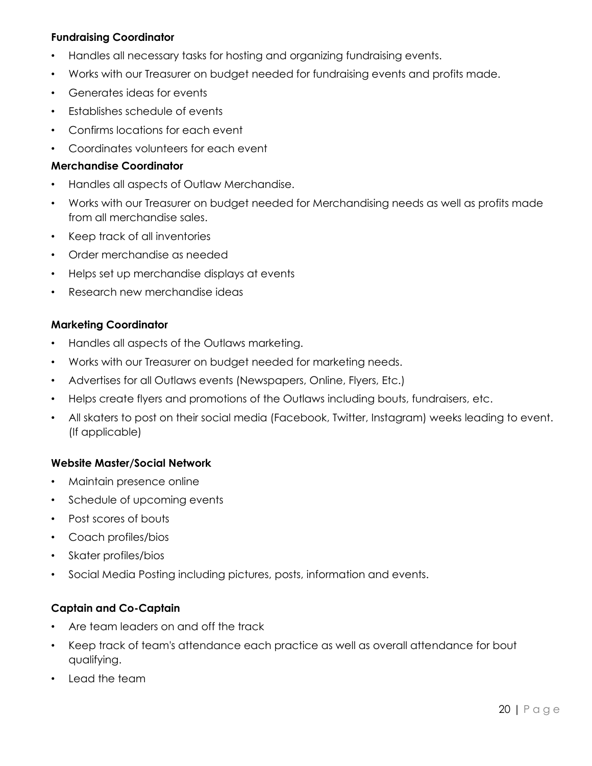### **Fundraising Coordinator**

- Handles all necessary tasks for hosting and organizing fundraising events.
- Works with our Treasurer on budget needed for fundraising events and profits made.
- Generates ideas for events
- Establishes schedule of events
- Confirms locations for each event
- Coordinates volunteers for each event

#### **Merchandise Coordinator**

- Handles all aspects of Outlaw Merchandise.
- Works with our Treasurer on budget needed for Merchandising needs as well as profits made from all merchandise sales.
- Keep track of all inventories
- Order merchandise as needed
- Helps set up merchandise displays at events
- Research new merchandise ideas

#### **Marketing Coordinator**

- Handles all aspects of the Outlaws marketing.
- Works with our Treasurer on budget needed for marketing needs.
- Advertises for all Outlaws events (Newspapers, Online, Flyers, Etc.)
- Helps create flyers and promotions of the Outlaws including bouts, fundraisers, etc.
- All skaters to post on their social media (Facebook, Twitter, Instagram) weeks leading to event. (If applicable)

#### **Website Master/Social Network**

- Maintain presence online
- Schedule of upcoming events
- Post scores of bouts
- Coach profiles/bios
- Skater profiles/bios
- Social Media Posting including pictures, posts, information and events.

#### **Captain and Co-Captain**

- Are team leaders on and off the track
- Keep track of team's attendance each practice as well as overall attendance for bout qualifying.
- Lead the team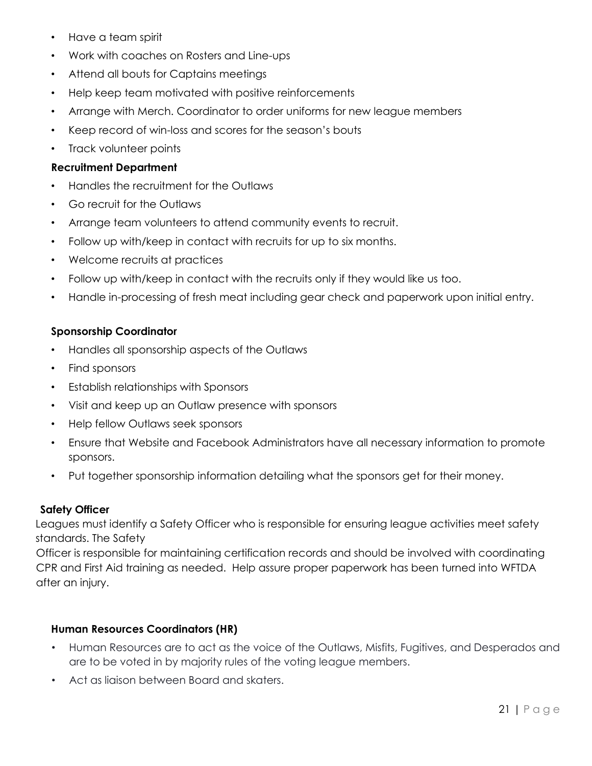- Have a team spirit
- Work with coaches on Rosters and Line-ups
- Attend all bouts for Captains meetings
- Help keep team motivated with positive reinforcements
- Arrange with Merch. Coordinator to order uniforms for new league members
- Keep record of win-loss and scores for the season's bouts
- Track volunteer points

### **Recruitment Department**

- Handles the recruitment for the Outlaws
- Go recruit for the Outlaws
- Arrange team volunteers to attend community events to recruit.
- Follow up with/keep in contact with recruits for up to six months.
- Welcome recruits at practices
- Follow up with/keep in contact with the recruits only if they would like us too.
- Handle in-processing of fresh meat including gear check and paperwork upon initial entry.

## **Sponsorship Coordinator**

- Handles all sponsorship aspects of the Outlaws
- Find sponsors
- Establish relationships with Sponsors
- Visit and keep up an Outlaw presence with sponsors
- Help fellow Outlaws seek sponsors
- Ensure that Website and Facebook Administrators have all necessary information to promote sponsors.
- Put together sponsorship information detailing what the sponsors get for their money.

## **Safety Officer**

Leagues must identify a Safety Officer who is responsible for ensuring league activities meet safety standards. The Safety

Officer is responsible for maintaining certification records and should be involved with coordinating CPR and First Aid training as needed. Help assure proper paperwork has been turned into WFTDA after an injury.

## **Human Resources Coordinators (HR)**

- Human Resources are to act as the voice of the Outlaws, Misfits, Fugitives, and Desperados and are to be voted in by majority rules of the voting league members.
- Act as liaison between Board and skaters.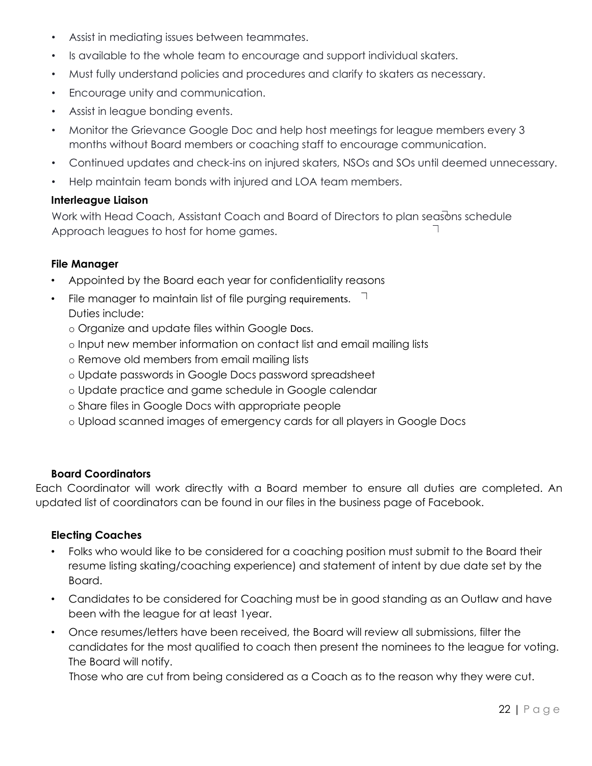- Assist in mediating issues between teammates.
- Is available to the whole team to encourage and support individual skaters.
- Must fully understand policies and procedures and clarify to skaters as necessary.
- Encourage unity and communication.
- Assist in league bonding events.
- Monitor the Grievance Google Doc and help host meetings for league members every 3 months without Board members or coaching staff to encourage communication.
- Continued updates and check-ins on injured skaters, NSOs and SOs until deemed unnecessary.
- Help maintain team bonds with injured and LOA team members.

#### **Interleague Liaison**

Work with Head Coach, Assistant Coach and Board of Directors to plan seasons schedule Approach leagues to host for home games.

#### **File Manager**

- Appointed by the Board each year for confidentiality reasons
- File manager to maintain list of file purging requirements.  $\Box$ Duties include:
	- o Organize and update files within Google Docs.
	- o Input new member information on contact list and email mailing lists
	- o Remove old members from email mailing lists
	- o Update passwords in Google Docs password spreadsheet
	- o Update practice and game schedule in Google calendar
	- o Share files in Google Docs with appropriate people
	- o Upload scanned images of emergency cards for all players in Google Docs

#### **Board Coordinators**

Each Coordinator will work directly with a Board member to ensure all duties are completed. An updated list of coordinators can be found in our files in the business page of Facebook.

#### **Electing Coaches**

- Folks who would like to be considered for a coaching position must submit to the Board their resume listing skating/coaching experience) and statement of intent by due date set by the Board.
- Candidates to be considered for Coaching must be in good standing as an Outlaw and have been with the league for at least 1year.
- Once resumes/letters have been received, the Board will review all submissions, filter the candidates for the most qualified to coach then present the nominees to the league for voting. The Board will notify.

Those who are cut from being considered as a Coach as to the reason why they were cut.